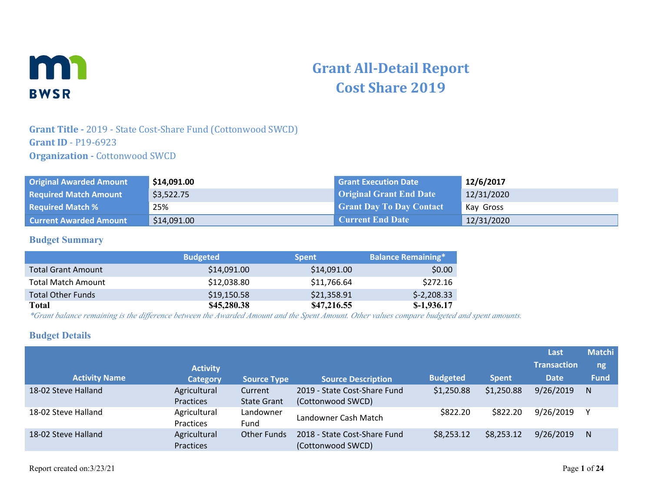

# **Grant All-Detail Report Cost Share 2019**

## **Grant Title -** 2019 - State Cost-Share Fund (Cottonwood SWCD) **Grant ID** - P19-6923 **Organization -** Cottonwood SWCD

| <b>Original Awarded Amount</b> | \$14,091.00 | <b>Grant Execution Date</b>     | 12/6/2017  |
|--------------------------------|-------------|---------------------------------|------------|
| <b>Required Match Amount</b>   | \$3,522.75  | <b>Original Grant End Date</b>  | 12/31/2020 |
| <b>Required Match %</b>        | 25%         | <b>Grant Day To Day Contact</b> | Kay Gross  |
| <b>Current Awarded Amount</b>  | \$14,091.00 | <b>Current End Date</b>         | 12/31/2020 |

#### **Budget Summary**

|                           | <b>Budgeted</b> | <b>Spent</b> | <b>Balance Remaining*</b> |
|---------------------------|-----------------|--------------|---------------------------|
| <b>Total Grant Amount</b> | \$14,091.00     | \$14,091.00  | \$0.00                    |
| <b>Total Match Amount</b> | \$12,038.80     | \$11,766.64  | \$272.16                  |
| <b>Total Other Funds</b>  | \$19,150.58     | \$21,358.91  | $$-2,208.33$              |
| <b>Total</b>              | \$45,280.38     | \$47,216.55  | $$-1,936.17$              |

*\*Grant balance remaining is the difference between the Awarded Amount and the Spent Amount. Other values compare budgeted and spent amounts.*

#### **Budget Details**

|                      |                                  |                               |                                                   |                 |              | Last               | <b>Matchi</b> |
|----------------------|----------------------------------|-------------------------------|---------------------------------------------------|-----------------|--------------|--------------------|---------------|
|                      | <b>Activity</b>                  |                               |                                                   |                 |              | <b>Transaction</b> | ng            |
| <b>Activity Name</b> | <b>Category</b>                  | <b>Source Type</b>            | <b>Source Description</b>                         | <b>Budgeted</b> | <b>Spent</b> | <b>Date</b>        | <b>Fund</b>   |
| 18-02 Steve Halland  | Agricultural<br><b>Practices</b> | Current<br><b>State Grant</b> | 2019 - State Cost-Share Fund<br>(Cottonwood SWCD) | \$1,250.88      | \$1,250.88   | 9/26/2019          | N             |
| 18-02 Steve Halland  | Agricultural<br><b>Practices</b> | Landowner<br>Fund             | Landowner Cash Match                              | \$822.20        | \$822.20     | 9/26/2019          |               |
| 18-02 Steve Halland  | Agricultural<br>Practices        | <b>Other Funds</b>            | 2018 - State Cost-Share Fund<br>(Cottonwood SWCD) | \$8,253.12      | \$8,253.12   | 9/26/2019          | N             |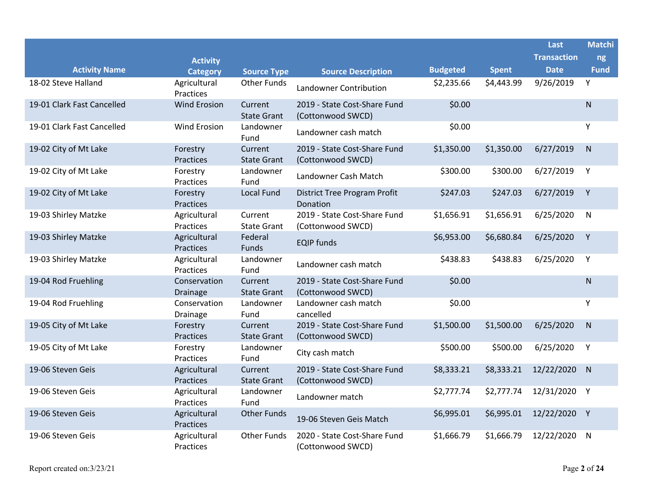|                            |                                  |                               |                                                        |                 |              | Last               | <b>Matchi</b> |
|----------------------------|----------------------------------|-------------------------------|--------------------------------------------------------|-----------------|--------------|--------------------|---------------|
|                            | <b>Activity</b>                  |                               |                                                        |                 |              | <b>Transaction</b> | ng            |
| <b>Activity Name</b>       | <b>Category</b>                  | <b>Source Type</b>            | <b>Source Description</b>                              | <b>Budgeted</b> | <b>Spent</b> | <b>Date</b>        | <b>Fund</b>   |
| 18-02 Steve Halland        | Agricultural<br>Practices        | <b>Other Funds</b>            | Landowner Contribution                                 | \$2,235.66      | \$4,443.99   | 9/26/2019          | Y             |
| 19-01 Clark Fast Cancelled | <b>Wind Erosion</b>              | Current<br><b>State Grant</b> | 2019 - State Cost-Share Fund<br>(Cottonwood SWCD)      | \$0.00          |              |                    | ${\sf N}$     |
| 19-01 Clark Fast Cancelled | <b>Wind Erosion</b>              | Landowner<br>Fund             | Landowner cash match                                   | \$0.00          |              |                    | Y             |
| 19-02 City of Mt Lake      | Forestry<br>Practices            | Current<br><b>State Grant</b> | 2019 - State Cost-Share Fund<br>(Cottonwood SWCD)      | \$1,350.00      | \$1,350.00   | 6/27/2019          | ${\sf N}$     |
| 19-02 City of Mt Lake      | Forestry<br>Practices            | Landowner<br>Fund             | Landowner Cash Match                                   | \$300.00        | \$300.00     | 6/27/2019          | Y             |
| 19-02 City of Mt Lake      | Forestry<br>Practices            | Local Fund                    | <b>District Tree Program Profit</b><br><b>Donation</b> | \$247.03        | \$247.03     | 6/27/2019          | Y             |
| 19-03 Shirley Matzke       | Agricultural<br>Practices        | Current<br><b>State Grant</b> | 2019 - State Cost-Share Fund<br>(Cottonwood SWCD)      | \$1,656.91      | \$1,656.91   | 6/25/2020          | $\mathsf{N}$  |
| 19-03 Shirley Matzke       | Agricultural<br><b>Practices</b> | Federal<br>Funds              | <b>EQIP funds</b>                                      | \$6,953.00      | \$6,680.84   | 6/25/2020          | Y             |
| 19-03 Shirley Matzke       | Agricultural<br>Practices        | Landowner<br>Fund             | Landowner cash match                                   | \$438.83        | \$438.83     | 6/25/2020          | Y             |
| 19-04 Rod Fruehling        | Conservation<br><b>Drainage</b>  | Current<br><b>State Grant</b> | 2019 - State Cost-Share Fund<br>(Cottonwood SWCD)      | \$0.00          |              |                    | ${\sf N}$     |
| 19-04 Rod Fruehling        | Conservation<br>Drainage         | Landowner<br>Fund             | Landowner cash match<br>cancelled                      | \$0.00          |              |                    | Y             |
| 19-05 City of Mt Lake      | Forestry<br>Practices            | Current<br><b>State Grant</b> | 2019 - State Cost-Share Fund<br>(Cottonwood SWCD)      | \$1,500.00      | \$1,500.00   | 6/25/2020          | $\mathsf{N}$  |
| 19-05 City of Mt Lake      | Forestry<br>Practices            | Landowner<br>Fund             | City cash match                                        | \$500.00        | \$500.00     | 6/25/2020          | Y             |
| 19-06 Steven Geis          | Agricultural<br>Practices        | Current<br><b>State Grant</b> | 2019 - State Cost-Share Fund<br>(Cottonwood SWCD)      | \$8,333.21      | \$8,333.21   | 12/22/2020         | N             |
| 19-06 Steven Geis          | Agricultural<br>Practices        | Landowner<br>Fund             | Landowner match                                        | \$2,777.74      | \$2,777.74   | 12/31/2020 Y       |               |
| 19-06 Steven Geis          | Agricultural<br>Practices        | <b>Other Funds</b>            | 19-06 Steven Geis Match                                | \$6,995.01      | \$6,995.01   | 12/22/2020 Y       |               |
| 19-06 Steven Geis          | Agricultural<br>Practices        | <b>Other Funds</b>            | 2020 - State Cost-Share Fund<br>(Cottonwood SWCD)      | \$1,666.79      | \$1,666.79   | 12/22/2020         | $\mathsf{N}$  |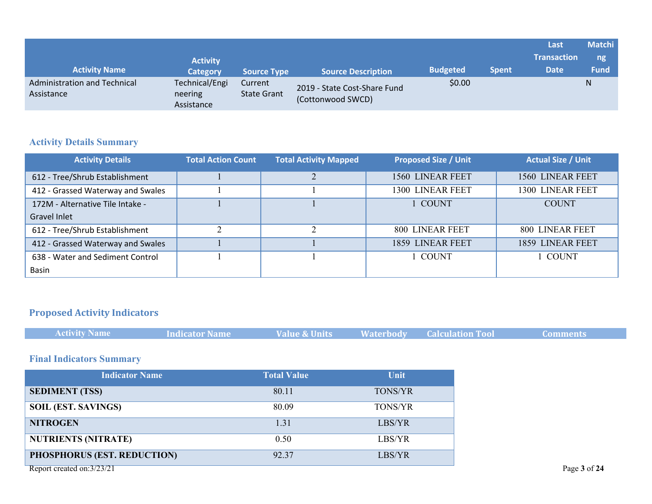|                                            |                                         |                               |                                                   |                 |              | Last               | <b>Matchi</b> |
|--------------------------------------------|-----------------------------------------|-------------------------------|---------------------------------------------------|-----------------|--------------|--------------------|---------------|
|                                            | <b>Activity</b>                         |                               |                                                   |                 |              | <b>Transaction</b> | ng            |
| <b>Activity Name</b>                       | <b>Category</b>                         | <b>Source Type</b>            | <b>Source Description</b>                         | <b>Budgeted</b> | <b>Spent</b> | <b>Date</b>        | <b>Fund</b>   |
| Administration and Technical<br>Assistance | Technical/Engi<br>neering<br>Assistance | Current<br><b>State Grant</b> | 2019 - State Cost-Share Fund<br>(Cottonwood SWCD) | \$0.00          |              |                    | N             |

## **Activity Details Summary**

| <b>Activity Details</b>           | <b>Total Action Count</b> | <b>Total Activity Mapped</b> | <b>Proposed Size / Unit</b> | <b>Actual Size / Unit</b> |
|-----------------------------------|---------------------------|------------------------------|-----------------------------|---------------------------|
| 612 - Tree/Shrub Establishment    |                           | ◠                            | <b>1560 LINEAR FEET</b>     | 1560 LINEAR FEET          |
| 412 - Grassed Waterway and Swales |                           |                              | 1300 LINEAR FEET            | 1300 LINEAR FEET          |
| 172M - Alternative Tile Intake -  |                           |                              | 1 COUNT                     | <b>COUNT</b>              |
| Gravel Inlet                      |                           |                              |                             |                           |
| 612 - Tree/Shrub Establishment    | ↑                         | ◠                            | 800 LINEAR FEET             | 800 LINEAR FEET           |
| 412 - Grassed Waterway and Swales |                           |                              | 1859 LINEAR FEET            | 1859 LINEAR FEET          |
| 638 - Water and Sediment Control  |                           |                              | 1 COUNT                     | 1 COUNT                   |
| <b>Basin</b>                      |                           |                              |                             |                           |

## **Proposed Activity Indicators**

|  | <b>Activity Name</b> | Indicator Name | Value & Units |  | <b>Waterbody Calculation Tool</b> | <b>Comments</b> |
|--|----------------------|----------------|---------------|--|-----------------------------------|-----------------|
|--|----------------------|----------------|---------------|--|-----------------------------------|-----------------|

## **Final Indicators Summary**

| <b>Indicator Name</b>       | <b>Total Value</b> | Unit    |
|-----------------------------|--------------------|---------|
| <b>SEDIMENT (TSS)</b>       | 80.11              | TONS/YR |
| <b>SOIL (EST. SAVINGS)</b>  | 80.09              | TONS/YR |
| <b>NITROGEN</b>             | 1.31               | LBS/YR  |
| <b>NUTRIENTS (NITRATE)</b>  | 0.50               | LBS/YR  |
| PHOSPHORUS (EST. REDUCTION) | 92.37              | LBS/YR  |
| Report created on:3/23/21   |                    |         |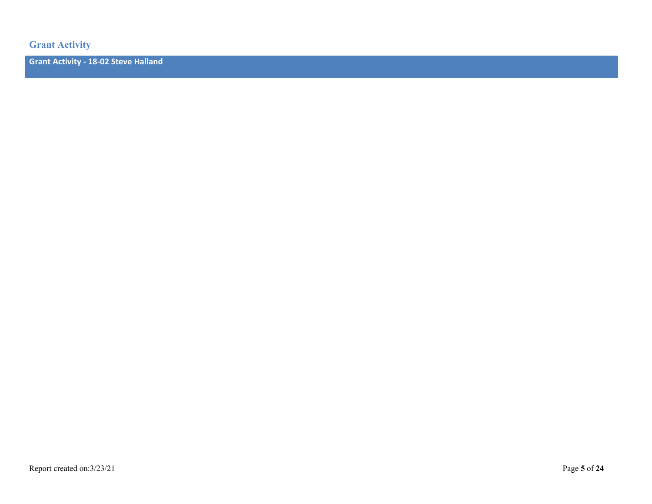**Grant Activity**

**Grant Activity - 18-02 Steve Halland**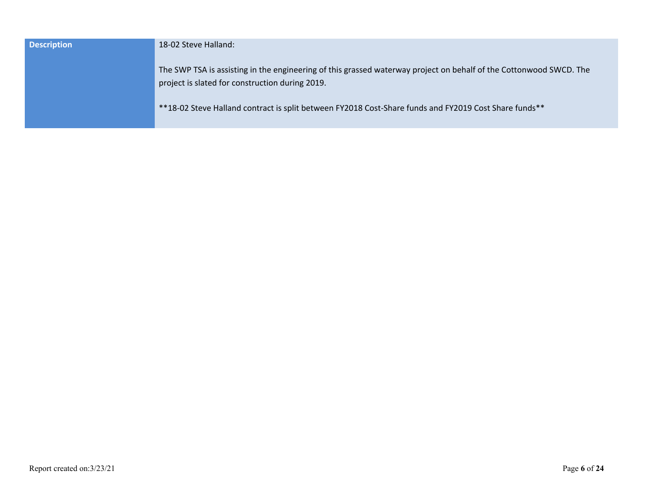| <b>Description</b> | 18-02 Steve Halland:                                                                                                                                                  |
|--------------------|-----------------------------------------------------------------------------------------------------------------------------------------------------------------------|
|                    | The SWP TSA is assisting in the engineering of this grassed waterway project on behalf of the Cottonwood SWCD. The<br>project is slated for construction during 2019. |
|                    | **18-02 Steve Halland contract is split between FY2018 Cost-Share funds and FY2019 Cost Share funds**                                                                 |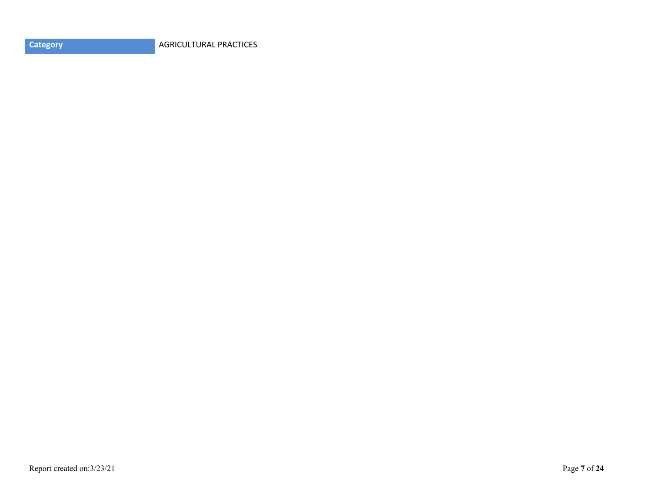**Category AGRICULTURAL PRACTICES**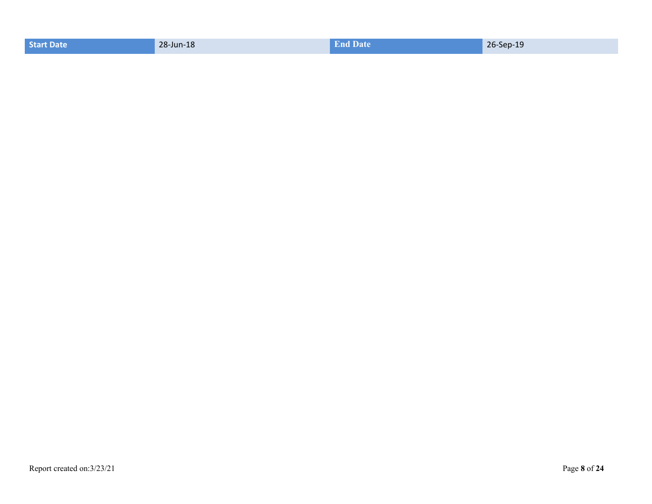| <b>Start Date</b> | 28-Jun-18 | <b>End Date</b> | the company's company's company's<br>26-Sep-19 |
|-------------------|-----------|-----------------|------------------------------------------------|
|                   |           |                 |                                                |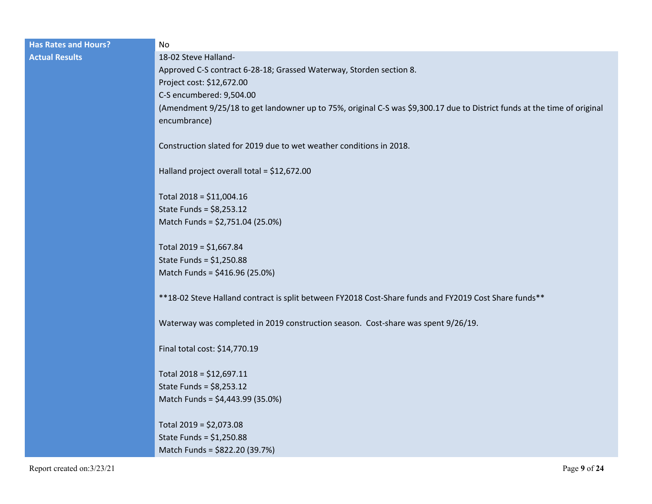| <b>Has Rates and Hours?</b> | No                                                                                                                                       |
|-----------------------------|------------------------------------------------------------------------------------------------------------------------------------------|
| <b>Actual Results</b>       | 18-02 Steve Halland-                                                                                                                     |
|                             | Approved C-S contract 6-28-18; Grassed Waterway, Storden section 8.                                                                      |
|                             | Project cost: \$12,672.00                                                                                                                |
|                             | C-S encumbered: 9,504.00                                                                                                                 |
|                             | (Amendment 9/25/18 to get landowner up to 75%, original C-S was \$9,300.17 due to District funds at the time of original<br>encumbrance) |
|                             | Construction slated for 2019 due to wet weather conditions in 2018.                                                                      |
|                             | Halland project overall total = \$12,672.00                                                                                              |
|                             | Total 2018 = \$11,004.16                                                                                                                 |
|                             | State Funds = $$8,253.12$                                                                                                                |
|                             | Match Funds = \$2,751.04 (25.0%)                                                                                                         |
|                             | Total $2019 = $1,667.84$                                                                                                                 |
|                             | State Funds = $$1,250.88$                                                                                                                |
|                             | Match Funds = \$416.96 (25.0%)                                                                                                           |
|                             | ** 18-02 Steve Halland contract is split between FY2018 Cost-Share funds and FY2019 Cost Share funds**                                   |
|                             | Waterway was completed in 2019 construction season. Cost-share was spent 9/26/19.                                                        |
|                             | Final total cost: \$14,770.19                                                                                                            |
|                             | Total 2018 = \$12,697.11                                                                                                                 |
|                             | State Funds = $$8,253.12$                                                                                                                |
|                             | Match Funds = \$4,443.99 (35.0%)                                                                                                         |
|                             | Total 2019 = \$2,073.08                                                                                                                  |
|                             | State Funds = $$1,250.88$                                                                                                                |
|                             | Match Funds = \$822.20 (39.7%)                                                                                                           |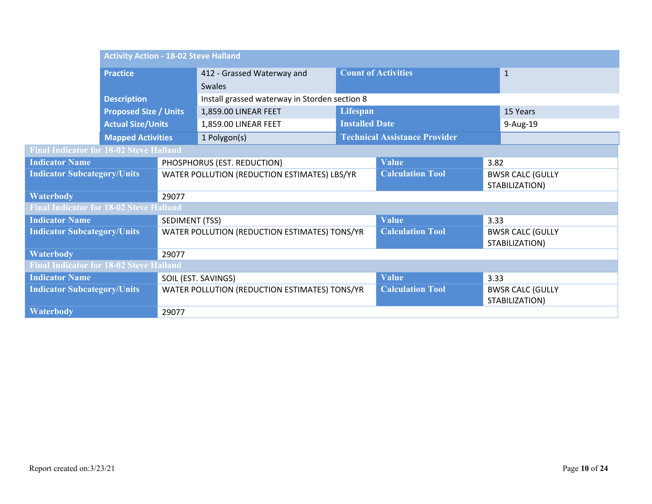|                                                | <b>Activity Action - 18-02 Steve Halland</b> |                                              |                                               |                            |                                           |                                           |          |
|------------------------------------------------|----------------------------------------------|----------------------------------------------|-----------------------------------------------|----------------------------|-------------------------------------------|-------------------------------------------|----------|
| <b>Practice</b>                                |                                              | 412 - Grassed Waterway and<br><b>Swales</b>  |                                               | <b>Count of Activities</b> |                                           | $\mathbf{1}$                              |          |
|                                                | <b>Description</b>                           |                                              | Install grassed waterway in Storden section 8 |                            |                                           |                                           |          |
|                                                | <b>Proposed Size / Units</b>                 |                                              | 1,859.00 LINEAR FEET                          | Lifespan                   |                                           |                                           | 15 Years |
|                                                | <b>Actual Size/Units</b>                     |                                              | 1,859.00 LINEAR FEET                          | <b>Installed Date</b>      |                                           |                                           | 9-Aug-19 |
|                                                | <b>Mapped Activities</b>                     |                                              | 1 Polygon(s)                                  |                            | <b>Technical Assistance Provider</b>      |                                           |          |
| <b>Final Indicator for 18-02 Steve Halland</b> |                                              |                                              |                                               |                            |                                           |                                           |          |
| <b>Indicator Name</b>                          |                                              |                                              | PHOSPHORUS (EST. REDUCTION)                   |                            | <b>Value</b>                              | 3.82                                      |          |
| <b>Indicator Subcategory/Units</b>             |                                              | WATER POLLUTION (REDUCTION ESTIMATES) LBS/YR |                                               | <b>Calculation Tool</b>    | <b>BWSR CALC (GULLY</b><br>STABILIZATION) |                                           |          |
| <b>Waterbody</b>                               |                                              | 29077                                        |                                               |                            |                                           |                                           |          |
| <b>Final Indicator for 18-02 Steve Halland</b> |                                              |                                              |                                               |                            |                                           |                                           |          |
| <b>Indicator Name</b>                          |                                              | SEDIMENT (TSS)                               |                                               |                            | <b>Value</b>                              | 3.33                                      |          |
| <b>Indicator Subcategory/Units</b>             |                                              |                                              | WATER POLLUTION (REDUCTION ESTIMATES) TONS/YR |                            | <b>Calculation Tool</b>                   | <b>BWSR CALC (GULLY</b><br>STABILIZATION) |          |
| <b>Waterbody</b>                               |                                              | 29077                                        |                                               |                            |                                           |                                           |          |
| <b>Final Indicator for 18-02 Steve Halland</b> |                                              |                                              |                                               |                            |                                           |                                           |          |
| <b>Indicator Name</b>                          |                                              |                                              | SOIL (EST. SAVINGS)                           |                            | <b>Value</b>                              | 3.33                                      |          |
| <b>Indicator Subcategory/Units</b>             |                                              |                                              | WATER POLLUTION (REDUCTION ESTIMATES) TONS/YR |                            | <b>Calculation Tool</b>                   | <b>BWSR CALC (GULLY</b><br>STABILIZATION) |          |
| <b>Waterbody</b>                               |                                              | 29077                                        |                                               |                            |                                           |                                           |          |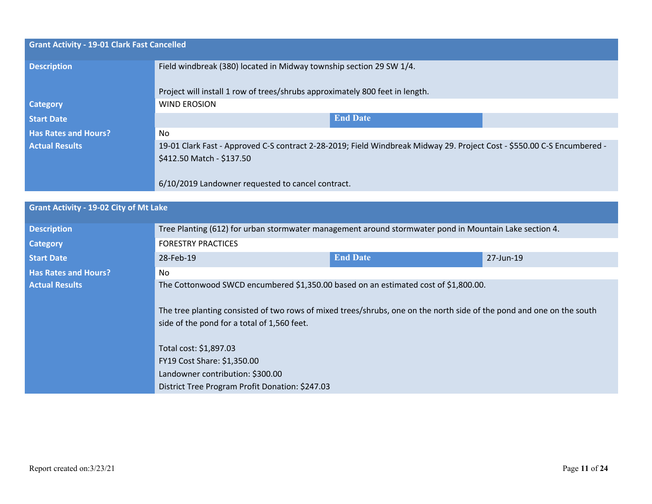| <b>Grant Activity - 19-01 Clark Fast Cancelled</b> |                                                                                                                         |  |  |  |
|----------------------------------------------------|-------------------------------------------------------------------------------------------------------------------------|--|--|--|
| <b>Description</b>                                 | Field windbreak (380) located in Midway township section 29 SW 1/4.                                                     |  |  |  |
|                                                    | Project will install 1 row of trees/shrubs approximately 800 feet in length.                                            |  |  |  |
| <b>Category</b>                                    | <b>WIND EROSION</b>                                                                                                     |  |  |  |
| <b>Start Date</b>                                  | <b>End Date</b>                                                                                                         |  |  |  |
| <b>Has Rates and Hours?</b>                        | No.                                                                                                                     |  |  |  |
| <b>Actual Results</b>                              | 19-01 Clark Fast - Approved C-S contract 2-28-2019; Field Windbreak Midway 29. Project Cost - \$550.00 C-S Encumbered - |  |  |  |
|                                                    | \$412.50 Match - \$137.50                                                                                               |  |  |  |
|                                                    | 6/10/2019 Landowner requested to cancel contract.                                                                       |  |  |  |

## **Grant Activity - 19-02 City of Mt Lake**

| <b>Description</b>          | Tree Planting (612) for urban stormwater management around stormwater pond in Mountain Lake section 4.                                                               |                 |           |  |  |  |
|-----------------------------|----------------------------------------------------------------------------------------------------------------------------------------------------------------------|-----------------|-----------|--|--|--|
| Category                    | <b>FORESTRY PRACTICES</b>                                                                                                                                            |                 |           |  |  |  |
| <b>Start Date</b>           | 28-Feb-19                                                                                                                                                            | <b>End Date</b> | 27-Jun-19 |  |  |  |
| <b>Has Rates and Hours?</b> | N <sub>0</sub>                                                                                                                                                       |                 |           |  |  |  |
| <b>Actual Results</b>       | The Cottonwood SWCD encumbered \$1,350.00 based on an estimated cost of \$1,800.00.                                                                                  |                 |           |  |  |  |
|                             | The tree planting consisted of two rows of mixed trees/shrubs, one on the north side of the pond and one on the south<br>side of the pond for a total of 1,560 feet. |                 |           |  |  |  |
|                             | Total cost: \$1,897.03                                                                                                                                               |                 |           |  |  |  |
|                             | FY19 Cost Share: \$1,350.00                                                                                                                                          |                 |           |  |  |  |
|                             | Landowner contribution: \$300.00                                                                                                                                     |                 |           |  |  |  |
|                             | District Tree Program Profit Donation: \$247.03                                                                                                                      |                 |           |  |  |  |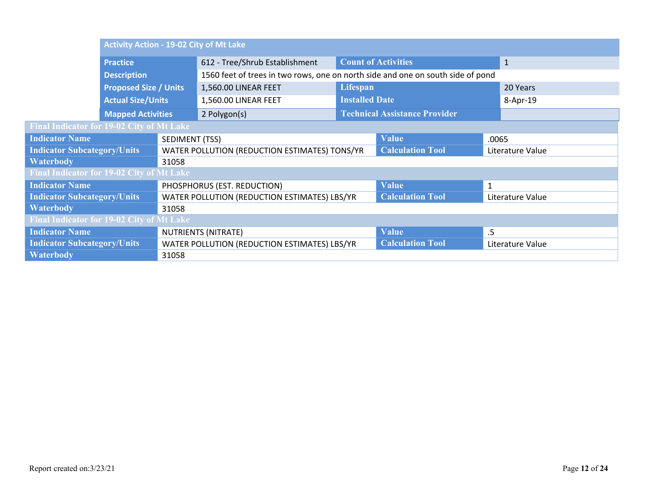|                                                  | <b>Activity Action - 19-02 City of Mt Lake</b> |                |                                               |                                                                                 |                                      |              |                  |  |
|--------------------------------------------------|------------------------------------------------|----------------|-----------------------------------------------|---------------------------------------------------------------------------------|--------------------------------------|--------------|------------------|--|
|                                                  | <b>Practice</b>                                |                | 612 - Tree/Shrub Establishment                |                                                                                 | <b>Count of Activities</b>           |              | $\mathbf{1}$     |  |
|                                                  | <b>Description</b>                             |                |                                               | 1560 feet of trees in two rows, one on north side and one on south side of pond |                                      |              |                  |  |
|                                                  | <b>Proposed Size / Units</b>                   |                | 1,560.00 LINEAR FEET                          | Lifespan                                                                        |                                      |              | 20 Years         |  |
|                                                  | <b>Actual Size/Units</b>                       |                | 1,560.00 LINEAR FEET                          | <b>Installed Date</b>                                                           |                                      |              | 8-Apr-19         |  |
|                                                  | <b>Mapped Activities</b>                       |                | 2 Polygon(s)                                  |                                                                                 | <b>Technical Assistance Provider</b> |              |                  |  |
| Final Indicator for 19-02 City of Mt Lake        |                                                |                |                                               |                                                                                 |                                      |              |                  |  |
| <b>Indicator Name</b>                            |                                                | SEDIMENT (TSS) | <b>Value</b>                                  |                                                                                 |                                      | .0065        |                  |  |
| <b>Indicator Subcategory/Units</b>               |                                                |                | WATER POLLUTION (REDUCTION ESTIMATES) TONS/YR |                                                                                 | <b>Calculation Tool</b>              |              | Literature Value |  |
| <b>Waterbody</b>                                 |                                                | 31058          |                                               |                                                                                 |                                      |              |                  |  |
| <b>Final Indicator for 19-02 City of Mt Lake</b> |                                                |                |                                               |                                                                                 |                                      |              |                  |  |
| <b>Indicator Name</b>                            |                                                |                | PHOSPHORUS (EST. REDUCTION)                   |                                                                                 | <b>Value</b>                         | $\mathbf{1}$ |                  |  |
| <b>Indicator Subcategory/Units</b>               |                                                |                | WATER POLLUTION (REDUCTION ESTIMATES) LBS/YR  |                                                                                 | <b>Calculation Tool</b>              |              | Literature Value |  |
| <b>Waterbody</b>                                 |                                                | 31058          |                                               |                                                                                 |                                      |              |                  |  |
| <b>Final Indicator for 19-02 City of Mt Lake</b> |                                                |                |                                               |                                                                                 |                                      |              |                  |  |
| <b>Indicator Name</b>                            |                                                |                | NUTRIENTS (NITRATE)                           |                                                                                 | <b>Value</b>                         | .5           |                  |  |
| <b>Indicator Subcategory/Units</b>               |                                                |                | WATER POLLUTION (REDUCTION ESTIMATES) LBS/YR  |                                                                                 | <b>Calculation Tool</b>              |              | Literature Value |  |
| <b>Waterbody</b>                                 |                                                | 31058          |                                               |                                                                                 |                                      |              |                  |  |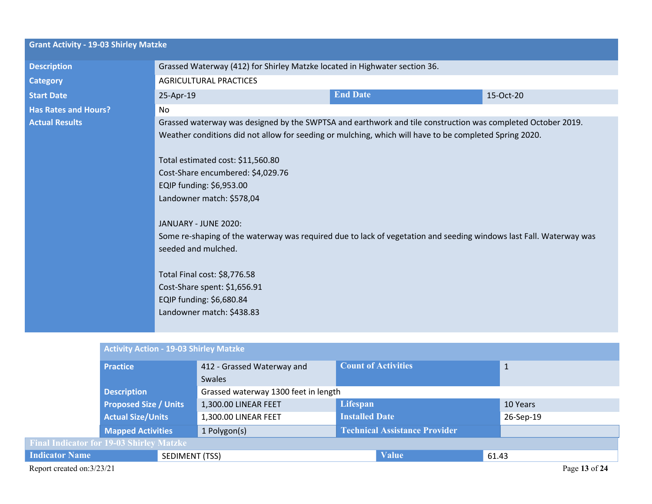| <b>Grant Activity - 19-03 Shirley Matzke</b> |                                                                                                                                                                                                                                                                                                                                                                                                                                                                                                                                                                                                                                                        |                 |           |  |  |
|----------------------------------------------|--------------------------------------------------------------------------------------------------------------------------------------------------------------------------------------------------------------------------------------------------------------------------------------------------------------------------------------------------------------------------------------------------------------------------------------------------------------------------------------------------------------------------------------------------------------------------------------------------------------------------------------------------------|-----------------|-----------|--|--|
| <b>Description</b>                           | Grassed Waterway (412) for Shirley Matzke located in Highwater section 36.                                                                                                                                                                                                                                                                                                                                                                                                                                                                                                                                                                             |                 |           |  |  |
| <b>Category</b>                              | <b>AGRICULTURAL PRACTICES</b>                                                                                                                                                                                                                                                                                                                                                                                                                                                                                                                                                                                                                          |                 |           |  |  |
| <b>Start Date</b>                            | 25-Apr-19                                                                                                                                                                                                                                                                                                                                                                                                                                                                                                                                                                                                                                              | <b>End Date</b> | 15-Oct-20 |  |  |
| <b>Has Rates and Hours?</b>                  | No                                                                                                                                                                                                                                                                                                                                                                                                                                                                                                                                                                                                                                                     |                 |           |  |  |
| <b>Actual Results</b>                        | Grassed waterway was designed by the SWPTSA and earthwork and tile construction was completed October 2019.<br>Weather conditions did not allow for seeding or mulching, which will have to be completed Spring 2020.<br>Total estimated cost: \$11,560.80<br>Cost-Share encumbered: \$4,029.76<br>EQIP funding: \$6,953.00<br>Landowner match: \$578,04<br>JANUARY - JUNE 2020:<br>Some re-shaping of the waterway was required due to lack of vegetation and seeding windows last Fall. Waterway was<br>seeded and mulched.<br>Total Final cost: \$8,776.58<br>Cost-Share spent: \$1,656.91<br>EQIP funding: \$6,680.84<br>Landowner match: \$438.83 |                 |           |  |  |
|                                              |                                                                                                                                                                                                                                                                                                                                                                                                                                                                                                                                                                                                                                                        |                 |           |  |  |

|                                                 |                              | <b>Activity Action - 19-03 Shirley Matzke</b> |                                      |                                      |           |               |  |  |
|-------------------------------------------------|------------------------------|-----------------------------------------------|--------------------------------------|--------------------------------------|-----------|---------------|--|--|
|                                                 | <b>Practice</b>              |                                               | 412 - Grassed Waterway and           | <b>Count of Activities</b>           | 1         |               |  |  |
|                                                 |                              |                                               | Swales                               |                                      |           |               |  |  |
|                                                 | <b>Description</b>           |                                               | Grassed waterway 1300 feet in length |                                      |           |               |  |  |
|                                                 | <b>Proposed Size / Units</b> |                                               | 1,300.00 LINEAR FEET                 | Lifespan                             | 10 Years  |               |  |  |
|                                                 | <b>Actual Size/Units</b>     |                                               | 1,300.00 LINEAR FEET                 | <b>Installed Date</b>                | 26-Sep-19 |               |  |  |
|                                                 | <b>Mapped Activities</b>     |                                               | 1 Polygon(s)                         | <b>Technical Assistance Provider</b> |           |               |  |  |
| <b>Final Indicator for 19-03 Shirley Matzke</b> |                              |                                               |                                      |                                      |           |               |  |  |
| <b>Indicator Name</b>                           |                              | SEDIMENT (TSS)                                |                                      | <b>Value</b>                         | 61.43     |               |  |  |
| Report created on:3/23/21                       |                              |                                               |                                      |                                      |           | Page 13 of 24 |  |  |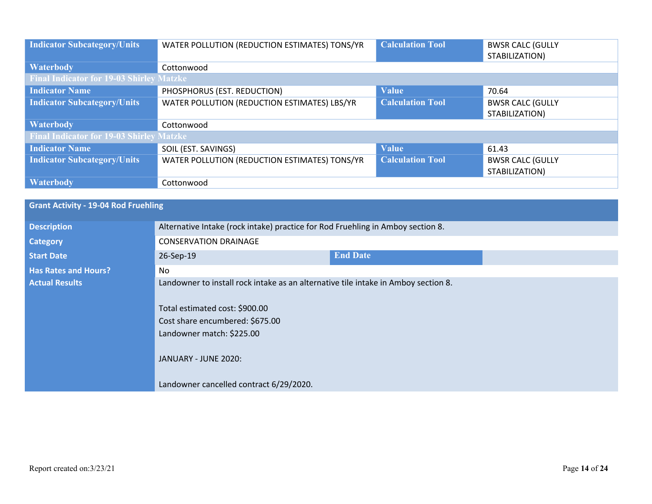| <b>Indicator Subcategory/Units</b>              | WATER POLLUTION (REDUCTION ESTIMATES) TONS/YR | <b>Calculation Tool</b> | <b>BWSR CALC (GULLY</b><br>STABILIZATION) |
|-------------------------------------------------|-----------------------------------------------|-------------------------|-------------------------------------------|
| <b>Waterbody</b>                                | Cottonwood                                    |                         |                                           |
| <b>Final Indicator for 19-03 Shirley Matzke</b> |                                               |                         |                                           |
| <b>Indicator Name</b>                           | PHOSPHORUS (EST. REDUCTION)                   | <b>Value</b>            | 70.64                                     |
| <b>Indicator Subcategory/Units</b>              | WATER POLLUTION (REDUCTION ESTIMATES) LBS/YR  | <b>Calculation Tool</b> | <b>BWSR CALC (GULLY</b><br>STABILIZATION) |
| <b>Waterbody</b>                                | Cottonwood                                    |                         |                                           |
| <b>Final Indicator for 19-03 Shirley Matzke</b> |                                               |                         |                                           |
| <b>Indicator Name</b>                           | SOIL (EST. SAVINGS)                           | <b>Value</b>            | 61.43                                     |
| <b>Indicator Subcategory/Units</b>              | WATER POLLUTION (REDUCTION ESTIMATES) TONS/YR | <b>Calculation Tool</b> | <b>BWSR CALC (GULLY</b><br>STABILIZATION) |
| <b>Waterbody</b>                                | Cottonwood                                    |                         |                                           |

| <b>Grant Activity - 19-04 Rod Fruehling</b> |                                                                                                                      |                 |  |  |
|---------------------------------------------|----------------------------------------------------------------------------------------------------------------------|-----------------|--|--|
| <b>Description</b>                          | Alternative Intake (rock intake) practice for Rod Fruehling in Amboy section 8.                                      |                 |  |  |
| <b>Category</b>                             | <b>CONSERVATION DRAINAGE</b>                                                                                         |                 |  |  |
| <b>Start Date</b>                           | 26-Sep-19                                                                                                            | <b>End Date</b> |  |  |
| <b>Has Rates and Hours?</b>                 | No                                                                                                                   |                 |  |  |
| <b>Actual Results</b>                       | Landowner to install rock intake as an alternative tile intake in Amboy section 8.<br>Total estimated cost: \$900.00 |                 |  |  |
|                                             | Cost share encumbered: \$675.00                                                                                      |                 |  |  |
|                                             | Landowner match: \$225.00                                                                                            |                 |  |  |
|                                             | JANUARY - JUNE 2020:                                                                                                 |                 |  |  |
|                                             | Landowner cancelled contract 6/29/2020.                                                                              |                 |  |  |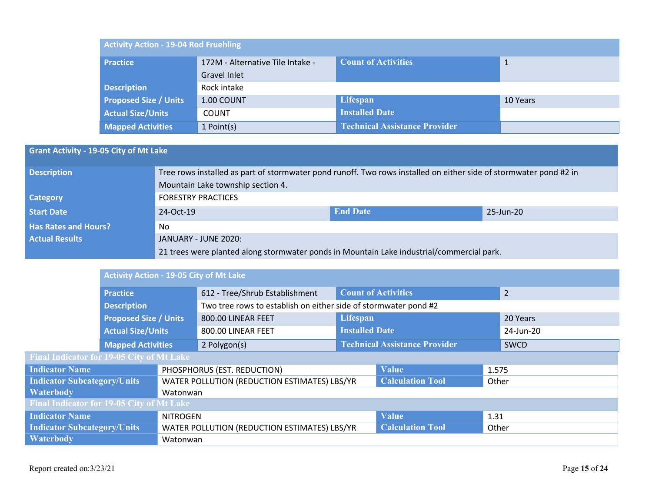| <b>Activity Action - 19-04 Rod Fruehling</b> |                                  |                                      |          |  |  |  |
|----------------------------------------------|----------------------------------|--------------------------------------|----------|--|--|--|
| <b>Practice</b>                              | 172M - Alternative Tile Intake - | <b>Count of Activities</b>           |          |  |  |  |
|                                              | Gravel Inlet                     |                                      |          |  |  |  |
| <b>Description</b>                           | Rock intake                      |                                      |          |  |  |  |
| <b>Proposed Size / Units</b>                 | 1.00 COUNT                       | Lifespan                             | 10 Years |  |  |  |
| <b>Actual Size/Units</b>                     | <b>COUNT</b>                     | <b>Installed Date</b>                |          |  |  |  |
| <b>Mapped Activities</b>                     | 1 Point(s)                       | <b>Technical Assistance Provider</b> |          |  |  |  |

## **Grant Activity - 19-05 City of Mt Lake**

| <b>Description</b>          | Tree rows installed as part of stormwater pond runoff. Two rows installed on either side of stormwater pond #2 in<br>Mountain Lake township section 4. |                 |           |  |  |
|-----------------------------|--------------------------------------------------------------------------------------------------------------------------------------------------------|-----------------|-----------|--|--|
| <b>Category</b>             | <b>FORESTRY PRACTICES</b>                                                                                                                              |                 |           |  |  |
| <b>Start Date</b>           | 24-Oct-19                                                                                                                                              | <b>End Date</b> | 25-Jun-20 |  |  |
| <b>Has Rates and Hours?</b> | No.                                                                                                                                                    |                 |           |  |  |
| <b>Actual Results</b>       | JANUARY - JUNE 2020:                                                                                                                                   |                 |           |  |  |
|                             | 21 trees were planted along stormwater ponds in Mountain Lake industrial/commercial park.                                                              |                 |           |  |  |

|                                                                                    | <b>Activity Action - 19-05 City of Mt Lake</b> |          |                                                                 |                                      |                         |           |          |
|------------------------------------------------------------------------------------|------------------------------------------------|----------|-----------------------------------------------------------------|--------------------------------------|-------------------------|-----------|----------|
|                                                                                    | <b>Practice</b>                                |          | 612 - Tree/Shrub Establishment                                  | <b>Count of Activities</b>           |                         |           | 2        |
|                                                                                    | <b>Description</b>                             |          | Two tree rows to establish on either side of stormwater pond #2 |                                      |                         |           |          |
|                                                                                    | <b>Proposed Size / Units</b>                   |          | 800.00 LINEAR FEET                                              | Lifespan                             |                         |           | 20 Years |
|                                                                                    | <b>Actual Size/Units</b>                       |          | 800.00 LINEAR FEET                                              | <b>Installed Date</b>                |                         | 24-Jun-20 |          |
| <b>Mapped Activities</b>                                                           |                                                |          | 2 Polygon(s)                                                    | <b>Technical Assistance Provider</b> |                         |           | SWCD     |
| <b>Final Indicator for 19-05 City of Mt Lake</b>                                   |                                                |          |                                                                 |                                      |                         |           |          |
| <b>Indicator Name</b>                                                              |                                                |          | PHOSPHORUS (EST. REDUCTION)                                     |                                      | <b>Value</b>            | 1.575     |          |
| <b>Indicator Subcategory/Units</b>                                                 |                                                |          | WATER POLLUTION (REDUCTION ESTIMATES) LBS/YR                    |                                      | <b>Calculation Tool</b> | Other     |          |
| <b>Waterbody</b>                                                                   |                                                | Watonwan |                                                                 |                                      |                         |           |          |
| <b>Final Indicator for 19-05 City of Mt Lake</b>                                   |                                                |          |                                                                 |                                      |                         |           |          |
| <b>Indicator Name</b><br><b>NITROGEN</b>                                           |                                                |          |                                                                 | <b>Value</b>                         | 1.31                    |           |          |
| <b>Indicator Subcategory/Units</b><br>WATER POLLUTION (REDUCTION ESTIMATES) LBS/YR |                                                |          | <b>Calculation Tool</b>                                         | Other                                |                         |           |          |
| <b>Waterbody</b>                                                                   |                                                | Watonwan |                                                                 |                                      |                         |           |          |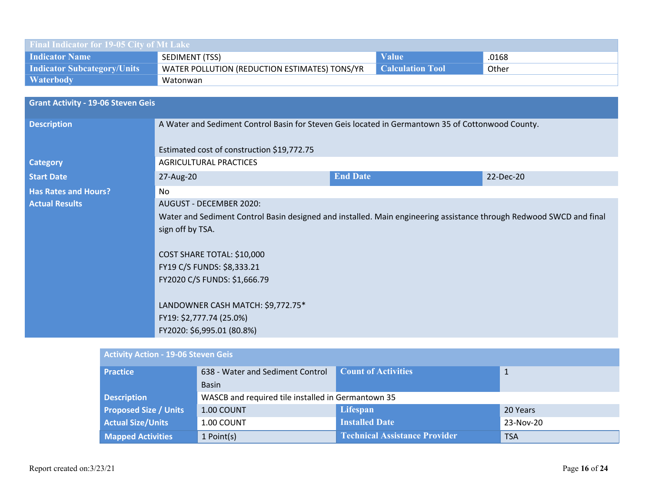| Final Indicator for 19-05 City of Mt Lake |                                                                                                                     |                 |                         |           |  |  |
|-------------------------------------------|---------------------------------------------------------------------------------------------------------------------|-----------------|-------------------------|-----------|--|--|
| <b>Indicator Name</b>                     | SEDIMENT (TSS)                                                                                                      |                 | <b>Value</b>            | .0168     |  |  |
| <b>Indicator Subcategory/Units</b>        | WATER POLLUTION (REDUCTION ESTIMATES) TONS/YR                                                                       |                 | <b>Calculation Tool</b> | Other     |  |  |
| <b>Waterbody</b>                          | Watonwan                                                                                                            |                 |                         |           |  |  |
|                                           |                                                                                                                     |                 |                         |           |  |  |
| <b>Grant Activity - 19-06 Steven Geis</b> |                                                                                                                     |                 |                         |           |  |  |
| <b>Description</b>                        | A Water and Sediment Control Basin for Steven Geis located in Germantown 35 of Cottonwood County.                   |                 |                         |           |  |  |
|                                           |                                                                                                                     |                 |                         |           |  |  |
|                                           | Estimated cost of construction \$19,772.75                                                                          |                 |                         |           |  |  |
| <b>Category</b>                           | <b>AGRICULTURAL PRACTICES</b>                                                                                       |                 |                         |           |  |  |
| <b>Start Date</b>                         | 27-Aug-20                                                                                                           | <b>End Date</b> |                         | 22-Dec-20 |  |  |
| <b>Has Rates and Hours?</b>               | No                                                                                                                  |                 |                         |           |  |  |
| <b>Actual Results</b>                     | <b>AUGUST - DECEMBER 2020:</b>                                                                                      |                 |                         |           |  |  |
|                                           | Water and Sediment Control Basin designed and installed. Main engineering assistance through Redwood SWCD and final |                 |                         |           |  |  |
|                                           | sign off by TSA.                                                                                                    |                 |                         |           |  |  |
|                                           |                                                                                                                     |                 |                         |           |  |  |
|                                           | COST SHARE TOTAL: \$10,000                                                                                          |                 |                         |           |  |  |
|                                           | FY19 C/S FUNDS: \$8,333.21                                                                                          |                 |                         |           |  |  |
|                                           | FY2020 C/S FUNDS: \$1,666.79                                                                                        |                 |                         |           |  |  |
|                                           |                                                                                                                     |                 |                         |           |  |  |
|                                           | LANDOWNER CASH MATCH: \$9,772.75*                                                                                   |                 |                         |           |  |  |
|                                           | FY19: \$2,777.74 (25.0%)                                                                                            |                 |                         |           |  |  |
|                                           | FY2020: \$6,995.01 (80.8%)                                                                                          |                 |                         |           |  |  |
|                                           |                                                                                                                     |                 |                         |           |  |  |

| <b>Activity Action - 19-06 Steven Geis</b> |                                  |                                                    |              |  |  |  |  |
|--------------------------------------------|----------------------------------|----------------------------------------------------|--------------|--|--|--|--|
| <b>Practice</b>                            | 638 - Water and Sediment Control | <b>Count of Activities</b>                         | $\mathbf{1}$ |  |  |  |  |
|                                            | <b>Basin</b>                     |                                                    |              |  |  |  |  |
| <b>Description</b>                         |                                  | WASCB and required tile installed in Germantown 35 |              |  |  |  |  |
| <b>Proposed Size / Units</b>               | 1.00 COUNT                       | Lifespan                                           | 20 Years     |  |  |  |  |
| <b>Actual Size/Units</b>                   | 1.00 COUNT                       | <b>Installed Date</b>                              | 23-Nov-20    |  |  |  |  |
| <b>Mapped Activities</b>                   | 1 Point(s)                       | <b>Technical Assistance Provider</b>               | <b>TSA</b>   |  |  |  |  |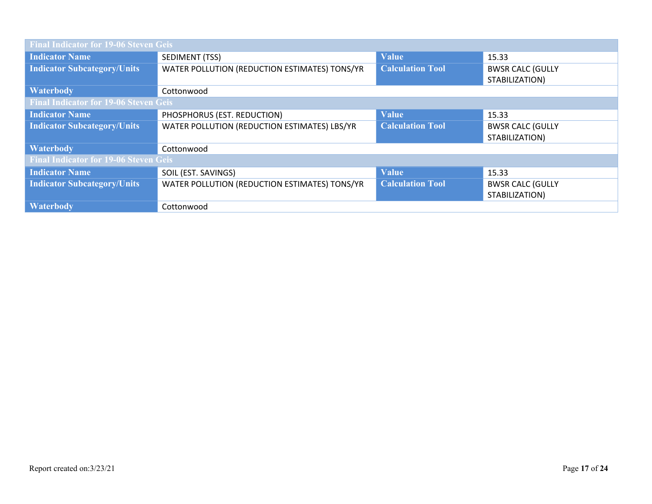| <b>Final Indicator for 19-06 Steven Geis</b> |                                               |                         |                                           |
|----------------------------------------------|-----------------------------------------------|-------------------------|-------------------------------------------|
| <b>Indicator Name</b>                        | SEDIMENT (TSS)                                | <b>Value</b>            | 15.33                                     |
| <b>Indicator Subcategory/Units</b>           | WATER POLLUTION (REDUCTION ESTIMATES) TONS/YR | <b>Calculation Tool</b> | <b>BWSR CALC (GULLY</b><br>STABILIZATION) |
| <b>Waterbody</b>                             | Cottonwood                                    |                         |                                           |
| <b>Final Indicator for 19-06 Steven Geis</b> |                                               |                         |                                           |
| <b>Indicator Name</b>                        | PHOSPHORUS (EST. REDUCTION)                   | <b>Value</b>            | 15.33                                     |
| <b>Indicator Subcategory/Units</b>           | WATER POLLUTION (REDUCTION ESTIMATES) LBS/YR  | <b>Calculation Tool</b> | <b>BWSR CALC (GULLY</b>                   |
|                                              |                                               |                         | STABILIZATION)                            |
| <b>Waterbody</b>                             | Cottonwood                                    |                         |                                           |
| <b>Final Indicator for 19-06 Steven Geis</b> |                                               |                         |                                           |
| <b>Indicator Name</b>                        | SOIL (EST. SAVINGS)                           | <b>Value</b>            | 15.33                                     |
| <b>Indicator Subcategory/Units</b>           | WATER POLLUTION (REDUCTION ESTIMATES) TONS/YR | <b>Calculation Tool</b> | <b>BWSR CALC (GULLY</b>                   |
|                                              |                                               |                         | STABILIZATION)                            |
| <b>Waterbody</b>                             | Cottonwood                                    |                         |                                           |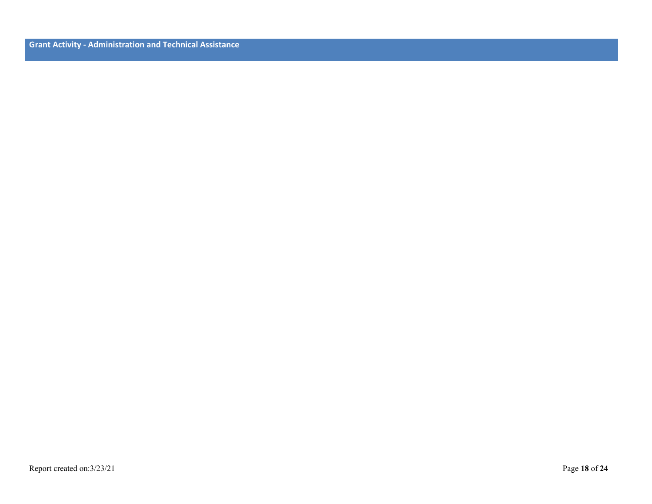**Grant Activity - Administration and Technical Assistance**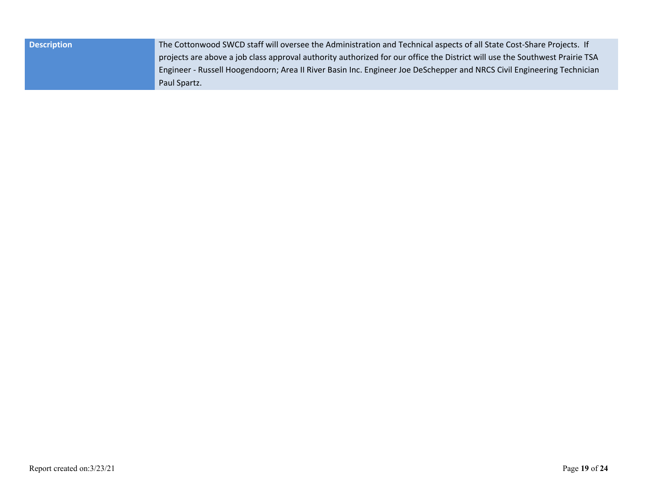| <b>Description</b> | The Cottonwood SWCD staff will oversee the Administration and Technical aspects of all State Cost-Share Projects. If        |  |
|--------------------|-----------------------------------------------------------------------------------------------------------------------------|--|
|                    | projects are above a job class approval authority authorized for our office the District will use the Southwest Prairie TSA |  |
|                    | Engineer - Russell Hoogendoorn; Area II River Basin Inc. Engineer Joe DeSchepper and NRCS Civil Engineering Technician      |  |
|                    | Paul Spartz.                                                                                                                |  |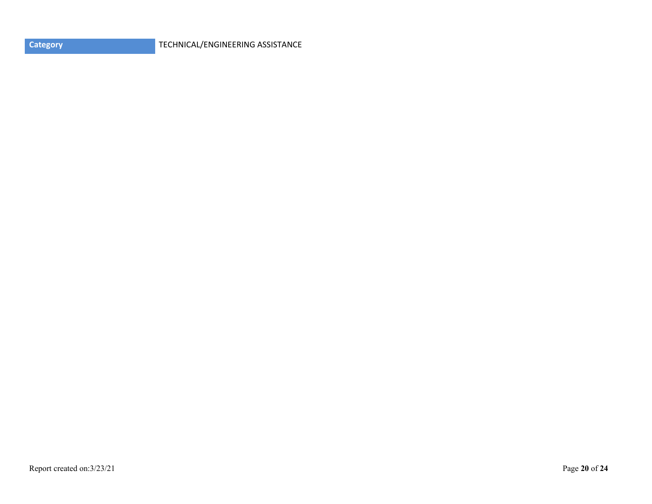| <b>Category</b> |  |  |
|-----------------|--|--|
|                 |  |  |
|                 |  |  |

**CATEGORY** TECHNICAL/ENGINEERING ASSISTANCE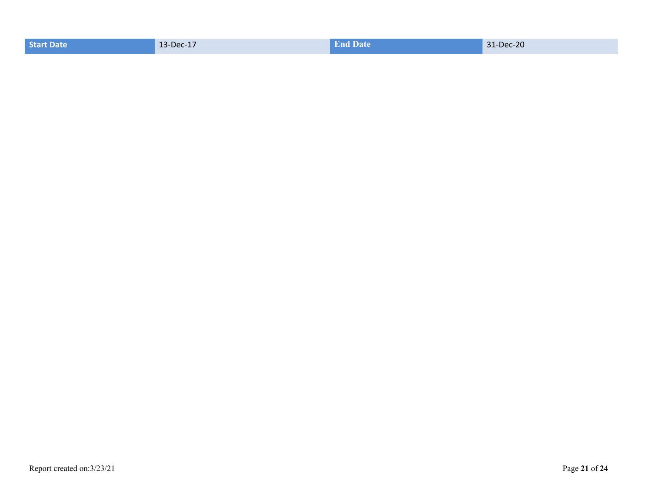| 13-Dec-17<br><b>Start Date</b> | <b>End Date</b> | 31-Dec-20 |
|--------------------------------|-----------------|-----------|
|--------------------------------|-----------------|-----------|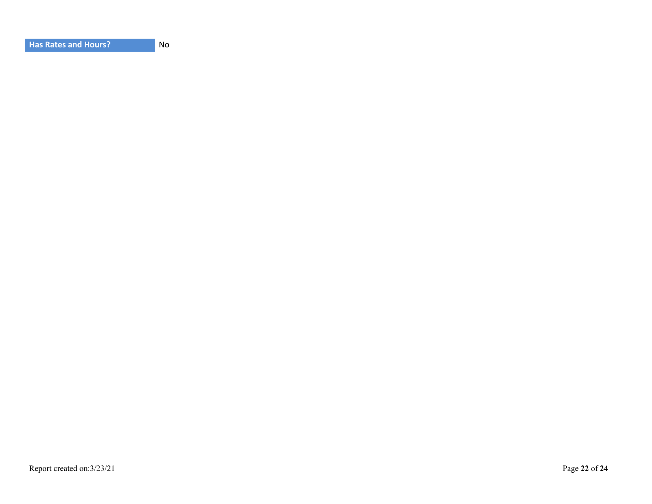| <b>Has Rates and Hours?</b> |  |
|-----------------------------|--|
|-----------------------------|--|

**No**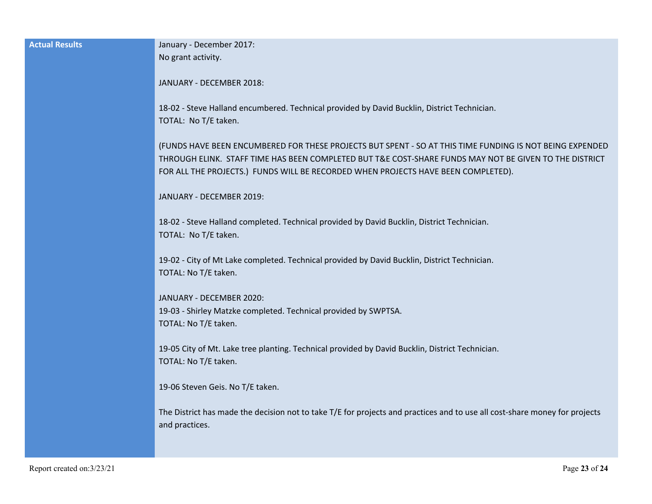| <b>Actual Results</b> | January - December 2017:                                                                                                                     |
|-----------------------|----------------------------------------------------------------------------------------------------------------------------------------------|
|                       | No grant activity.                                                                                                                           |
|                       | JANUARY - DECEMBER 2018:                                                                                                                     |
|                       |                                                                                                                                              |
|                       | 18-02 - Steve Halland encumbered. Technical provided by David Bucklin, District Technician.                                                  |
|                       | TOTAL: No T/E taken.                                                                                                                         |
|                       | (FUNDS HAVE BEEN ENCUMBERED FOR THESE PROJECTS BUT SPENT - SO AT THIS TIME FUNDING IS NOT BEING EXPENDED                                     |
|                       | THROUGH ELINK. STAFF TIME HAS BEEN COMPLETED BUT T&E COST-SHARE FUNDS MAY NOT BE GIVEN TO THE DISTRICT                                       |
|                       | FOR ALL THE PROJECTS.) FUNDS WILL BE RECORDED WHEN PROJECTS HAVE BEEN COMPLETED).                                                            |
|                       | JANUARY - DECEMBER 2019:                                                                                                                     |
|                       |                                                                                                                                              |
|                       | 18-02 - Steve Halland completed. Technical provided by David Bucklin, District Technician.                                                   |
|                       | TOTAL: No T/E taken.                                                                                                                         |
|                       | 19-02 - City of Mt Lake completed. Technical provided by David Bucklin, District Technician.                                                 |
|                       | TOTAL: No T/E taken.                                                                                                                         |
|                       |                                                                                                                                              |
|                       | JANUARY - DECEMBER 2020:<br>19-03 - Shirley Matzke completed. Technical provided by SWPTSA.                                                  |
|                       | TOTAL: No T/E taken.                                                                                                                         |
|                       |                                                                                                                                              |
|                       | 19-05 City of Mt. Lake tree planting. Technical provided by David Bucklin, District Technician.                                              |
|                       | TOTAL: No T/E taken.                                                                                                                         |
|                       | 19-06 Steven Geis. No T/E taken.                                                                                                             |
|                       |                                                                                                                                              |
|                       | The District has made the decision not to take T/E for projects and practices and to use all cost-share money for projects<br>and practices. |
|                       |                                                                                                                                              |
|                       |                                                                                                                                              |